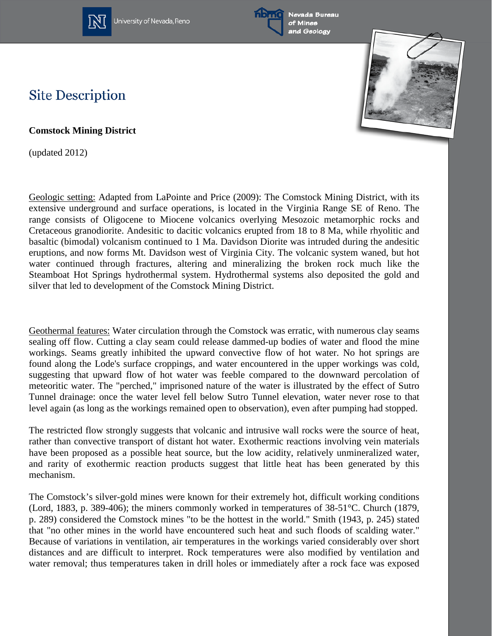

University of Nevada, Reno



Nevada Bureau and Geology



## **Site Description**

**Comstock Mining District**

(updated 2012)

Geologic setting: Adapted from LaPointe and Price (2009): The Comstock Mining District, with its extensive underground and surface operations, is located in the Virginia Range SE of Reno. The range consists of Oligocene to Miocene volcanics overlying Mesozoic metamorphic rocks and Cretaceous granodiorite. Andesitic to dacitic volcanics erupted from 18 to 8 Ma, while rhyolitic and basaltic (bimodal) volcanism continued to 1 Ma. Davidson Diorite was intruded during the andesitic eruptions, and now forms Mt. Davidson west of Virginia City. The volcanic system waned, but hot water continued through fractures, altering and mineralizing the broken rock much like the Steamboat Hot Springs hydrothermal system. Hydrothermal systems also deposited the gold and silver that led to development of the Comstock Mining District.

Geothermal features: Water circulation through the Comstock was erratic, with numerous clay seams sealing off flow. Cutting a clay seam could release dammed-up bodies of water and flood the mine workings. Seams greatly inhibited the upward convective flow of hot water. No hot springs are found along the Lode's surface croppings, and water encountered in the upper workings was cold, suggesting that upward flow of hot water was feeble compared to the downward percolation of meteoritic water. The "perched," imprisoned nature of the water is illustrated by the effect of Sutro Tunnel drainage: once the water level fell below Sutro Tunnel elevation, water never rose to that level again (as long as the workings remained open to observation), even after pumping had stopped.

The restricted flow strongly suggests that volcanic and intrusive wall rocks were the source of heat, rather than convective transport of distant hot water. Exothermic reactions involving vein materials have been proposed as a possible heat source, but the low acidity, relatively unmineralized water, and rarity of exothermic reaction products suggest that little heat has been generated by this mechanism.

The Comstock's silver-gold mines were known for their extremely hot, difficult working conditions (Lord, 1883, p. 389-406); the miners commonly worked in temperatures of 38-51°C. Church (1879, p. 289) considered the Comstock mines "to be the hottest in the world." Smith (1943, p. 245) stated that "no other mines in the world have encountered such heat and such floods of scalding water." Because of variations in ventilation, air temperatures in the workings varied considerably over short distances and are difficult to interpret. Rock temperatures were also modified by ventilation and water removal; thus temperatures taken in drill holes or immediately after a rock face was exposed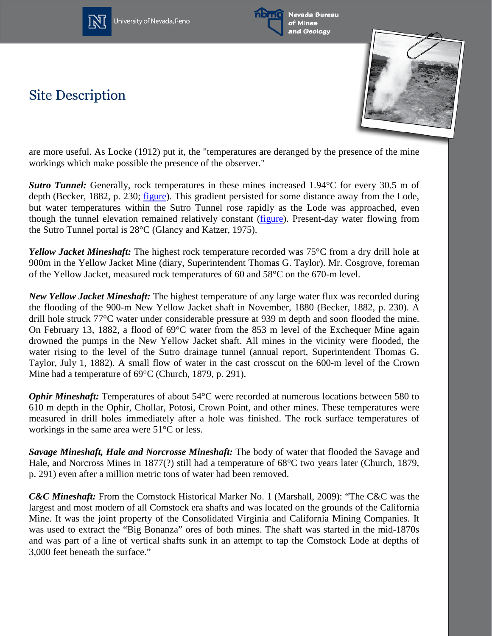

University of Nevada, Reno



**Site Description** 



are more useful. As Locke (1912) put it, the "temperatures are deranged by the presence of the mine workings which make possible the presence of the observer."

*Sutro Tunnel:* Generally, rock temperatures in these mines increased 1.94 °C for every 30.5 m of depth (Becker, 1882, p. 230; [figure\)](http://www.nbmg.unr.edu/geothermal/figures/fig42.pdf). This gradient persisted for some distance away from the Lode, but water temperatures within the Sutro Tunnel rose rapidly as the Lode was approached, even though the tunnel elevation remained relatively constant [\(figure\)](http://www.nbmg.unr.edu/geothermal/figures/fig43.pdf). Present-day water flowing from the Sutro Tunnel portal is 28°C (Glancy and Katzer, 1975).

*Yellow Jacket Mineshaft:* The highest rock temperature recorded was 75°C from a dry drill hole at 900m in the Yellow Jacket Mine (diary, Superintendent Thomas G. Taylor). Mr. Cosgrove, foreman of the Yellow Jacket, measured rock temperatures of 60 and 58°C on the 670-m level.

*New Yellow Jacket Mineshaft:* The highest temperature of any large water flux was recorded during the flooding of the 900-m New Yellow Jacket shaft in November, 1880 (Becker, 1882, p. 230). A drill hole struck 77°C water under considerable pressure at 939 m depth and soon flooded the mine. On February 13, 1882, a flood of 69°C water from the 853 m level of the Exchequer Mine again drowned the pumps in the New Yellow Jacket shaft. All mines in the vicinity were flooded, the water rising to the level of the Sutro drainage tunnel (annual report, Superintendent Thomas G. Taylor, July 1, 1882). A small flow of water in the cast crosscut on the 600-m level of the Crown Mine had a temperature of 69°C (Church, 1879, p. 291).

**Ophir Mineshaft:** Temperatures of about 54°C were recorded at numerous locations between 580 to 610 m depth in the Ophir, Chollar, Potosi, Crown Point, and other mines. These temperatures were measured in drill holes immediately after a hole was finished. The rock surface temperatures of workings in the same area were 51°C or less.

*Savage Mineshaft, Hale and Norcrosse Mineshaft:* The body of water that flooded the Savage and Hale, and Norcross Mines in 1877(?) still had a temperature of 68°C two years later (Church, 1879, p. 291) even after a million metric tons of water had been removed.

*C&C Mineshaft:* From the Comstock Historical Marker No. 1 (Marshall, 2009): "The C&C was the largest and most modern of all Comstock era shafts and was located on the grounds of the California Mine. It was the joint property of the Consolidated Virginia and California Mining Companies. It was used to extract the "Big Bonanza" ores of both mines. The shaft was started in the mid-1870s and was part of a line of vertical shafts sunk in an attempt to tap the Comstock Lode at depths of 3,000 feet beneath the surface."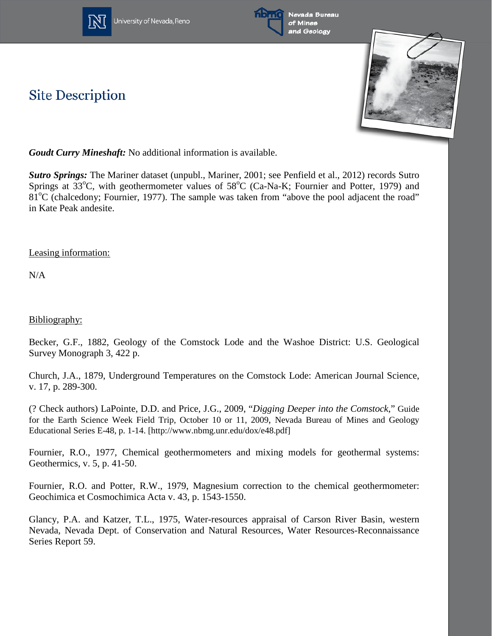



Nevada Bureau of Mines and Geology

## **Site Description**



*Goudt Curry Mineshaft:* No additional information is available.

*Sutro Springs:* The Mariner dataset (unpubl., Mariner, 2001; see Penfield et al., 2012) records Sutro Springs at 33°C, with geothermometer values of 58°C (Ca-Na-K; Fournier and Potter, 1979) and  $81^{\circ}$ C (chalcedony; Fournier, 1977). The sample was taken from "above the pool adjacent the road" in Kate Peak andesite.

Leasing information:

N/A

Bibliography:

Becker, G.F., 1882, Geology of the Comstock Lode and the Washoe District: U.S. Geological Survey Monograph 3, 422 p.

Church, J.A., 1879, Underground Temperatures on the Comstock Lode: American Journal Science, v. 17, p. 289-300.

(? Check authors) LaPointe, D.D. and Price, J.G., 2009, "*Digging Deeper into the Comstock*," Guide for the Earth Science Week Field Trip, October 10 or 11, 2009, Nevada Bureau of Mines and Geology Educational Series E-48, p. 1-14. [http://www.nbmg.unr.edu/dox/e48.pdf]

Fournier, R.O., 1977, Chemical geothermometers and mixing models for geothermal systems: Geothermics, v. 5, p. 41-50.

Fournier, R.O. and Potter, R.W., 1979, Magnesium correction to the chemical geothermometer: Geochimica et Cosmochimica Acta v. 43, p. 1543-1550.

Glancy, P.A. and Katzer, T.L., 1975, Water-resources appraisal of Carson River Basin, western Nevada, Nevada Dept. of Conservation and Natural Resources, Water Resources-Reconnaissance Series Report 59.